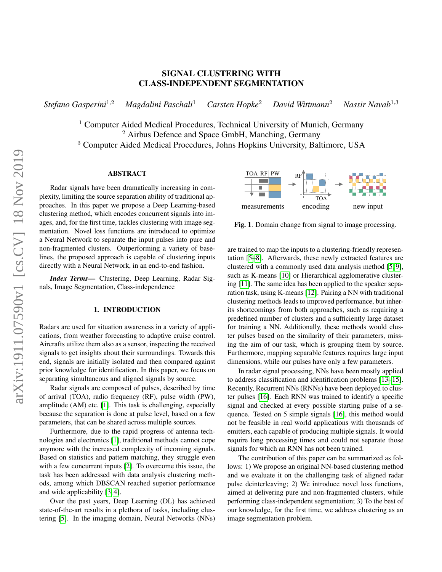# SIGNAL CLUSTERING WITH CLASS-INDEPENDENT SEGMENTATION

*Stefano Gasperini*<sup>1</sup>,<sup>2</sup> *Magdalini Paschali*<sup>1</sup> *Carsten Hopke*<sup>2</sup> *David Wittmann*<sup>2</sup> *Nassir Navab*<sup>1</sup>,<sup>3</sup>

 $1$  Computer Aided Medical Procedures, Technical University of Munich, Germany <sup>2</sup> Airbus Defence and Space GmbH, Manching, Germany

<sup>3</sup> Computer Aided Medical Procedures, Johns Hopkins University, Baltimore, USA

## ABSTRACT

Radar signals have been dramatically increasing in complexity, limiting the source separation ability of traditional approaches. In this paper we propose a Deep Learning-based clustering method, which encodes concurrent signals into images, and, for the first time, tackles clustering with image segmentation. Novel loss functions are introduced to optimize a Neural Network to separate the input pulses into pure and non-fragmented clusters. Outperforming a variety of baselines, the proposed approach is capable of clustering inputs directly with a Neural Network, in an end-to-end fashion.

*Index Terms*— Clustering, Deep Learning, Radar Signals, Image Segmentation, Class-independence

## 1. INTRODUCTION

Radars are used for situation awareness in a variety of applications, from weather forecasting to adaptive cruise control. Aircrafts utilize them also as a sensor, inspecting the received signals to get insights about their surroundings. Towards this end, signals are initially isolated and then compared against prior knowledge for identification. In this paper, we focus on separating simultaneous and aligned signals by source.

Radar signals are composed of pulses, described by time of arrival (TOA), radio frequency (RF), pulse width (PW), amplitude (AM) etc. [\[1\]](#page-4-0). This task is challenging, especially because the separation is done at pulse level, based on a few parameters, that can be shared across multiple sources.

Furthermore, due to the rapid progress of antenna technologies and electronics [\[1\]](#page-4-0), traditional methods cannot cope anymore with the increased complexity of incoming signals. Based on statistics and pattern matching, they struggle even with a few concurrent inputs [\[2\]](#page-4-1). To overcome this issue, the task has been addressed with data analysis clustering methods, among which DBSCAN reached superior performance and wide applicability [\[3,](#page-4-2) [4\]](#page-4-3).

Over the past years, Deep Learning (DL) has achieved state-of-the-art results in a plethora of tasks, including clustering [\[5\]](#page-4-4). In the imaging domain, Neural Networks (NNs)



<span id="page-0-0"></span>Fig. 1. Domain change from signal to image processing.

are trained to map the inputs to a clustering-friendly representation [\[5](#page-4-4)[–8\]](#page-4-5). Afterwards, these newly extracted features are clustered with a commonly used data analysis method [\[5,](#page-4-4) [9\]](#page-4-6), such as K-means [\[10\]](#page-4-7) or Hierarchical agglomerative clustering [\[11\]](#page-4-8). The same idea has been applied to the speaker separation task, using K-means [\[12\]](#page-4-9). Pairing a NN with traditional clustering methods leads to improved performance, but inherits shortcomings from both approaches, such as requiring a predefined number of clusters and a sufficiently large dataset for training a NN. Additionally, these methods would cluster pulses based on the similarity of their parameters, missing the aim of our task, which is grouping them by source. Furthermore, mapping separable features requires large input dimensions, while our pulses have only a few parameters.

In radar signal processing, NNs have been mostly applied to address classification and identification problems [\[13](#page-4-10)[–15\]](#page-4-11). Recently, Recurrent NNs (RNNs) have been deployed to cluster pulses [\[16\]](#page-4-12). Each RNN was trained to identify a specific signal and checked at every possible starting pulse of a sequence. Tested on 5 simple signals [\[16\]](#page-4-12), this method would not be feasible in real world applications with thousands of emitters, each capable of producing multiple signals. It would require long processing times and could not separate those signals for which an RNN has not been trained.

The contribution of this paper can be summarized as follows: 1) We propose an original NN-based clustering method and we evaluate it on the challenging task of aligned radar pulse deinterleaving; 2) We introduce novel loss functions, aimed at delivering pure and non-fragmented clusters, while performing class-independent segmentation; 3) To the best of our knowledge, for the first time, we address clustering as an image segmentation problem.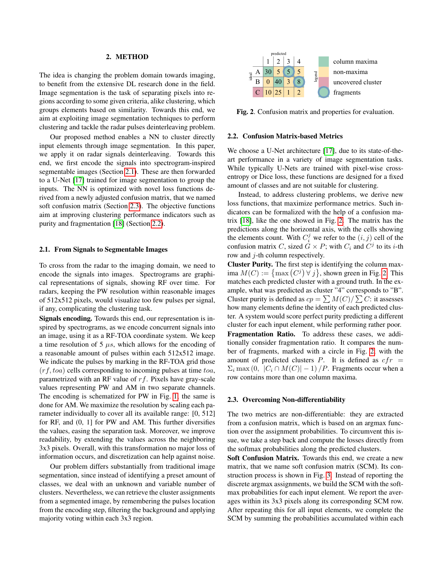## 2. METHOD

The idea is changing the problem domain towards imaging, to benefit from the extensive DL research done in the field. Image segmentation is the task of separating pixels into regions according to some given criteria, alike clustering, which groups elements based on similarity. Towards this end, we aim at exploiting image segmentation techniques to perform clustering and tackle the radar pulses deinterleaving problem.

Our proposed method enables a NN to cluster directly input elements through image segmentation. In this paper, we apply it on radar signals deinterleaving. Towards this end, we first encode the signals into spectrogram-inspired segmentable images (Section [2.1\)](#page-1-0). These are then forwarded to a U-Net [\[17\]](#page-4-13) trained for image segmentation to group the inputs. The NN is optimized with novel loss functions derived from a newly adjusted confusion matrix, that we named soft confusion matrix (Section [2.3\)](#page-1-1). The objective functions aim at improving clustering performance indicators such as purity and fragmentation [\[18\]](#page-4-14) (Section [2.2\)](#page-1-2).

## <span id="page-1-0"></span>2.1. From Signals to Segmentable Images

To cross from the radar to the imaging domain, we need to encode the signals into images. Spectrograms are graphical representations of signals, showing RF over time. For radars, keeping the PW resolution within reasonable images of 512x512 pixels, would visualize too few pulses per signal, if any, complicating the clustering task.

Signals encoding. Towards this end, our representation is inspired by spectrograms, as we encode concurrent signals into an image, using it as a RF-TOA coordinate system. We keep a time resolution of 5  $\mu s$ , which allows for the encoding of a reasonable amount of pulses within each 512x512 image. We indicate the pulses by marking in the RF-TOA grid those  $(rf, toa)$  cells corresponding to incoming pulses at time  $toa$ , parametrized with an RF value of  $rf$ . Pixels have gray-scale values representing PW and AM in two separate channels. The encoding is schematized for PW in Fig. [1,](#page-0-0) the same is done for AM. We maximize the resolution by scaling each parameter individually to cover all its available range: [0, 512] for RF, and (0, 1] for PW and AM. This further diversifies the values, easing the separation task. Moreover, we improve readability, by extending the values across the neighboring 3x3 pixels. Overall, with this transformation no major loss of information occurs, and discretization can help against noise.

Our problem differs substantially from traditional image segmentation, since instead of identifying a preset amount of classes, we deal with an unknown and variable number of clusters. Nevertheless, we can retrieve the cluster assignments from a segmented image, by remembering the pulses location from the encoding step, filtering the background and applying majority voting within each 3x3 region.



<span id="page-1-3"></span>Fig. 2. Confusion matrix and properties for evaluation.

### <span id="page-1-2"></span>2.2. Confusion Matrix-based Metrics

We choose a U-Net architecture [\[17\]](#page-4-13), due to its state-of-theart performance in a variety of image segmentation tasks. While typically U-Nets are trained with pixel-wise crossentropy or Dice loss, these functions are designed for a fixed amount of classes and are not suitable for clustering.

Instead, to address clustering problems, we derive new loss functions, that maximize performance metrics. Such indicators can be formalized with the help of a confusion matrix [\[18\]](#page-4-14), like the one showed in Fig. [2.](#page-1-3) The matrix has the predictions along the horizontal axis, with the cells showing the elements count. With  $C_i^j$  we refer to the  $(i, j)$  cell of the confusion matrix C, sized  $G \times P$ ; with  $C_i$  and  $C^j$  to its *i*-th row and j-th column respectively.

Cluster Purity. The first step is identifying the column maxima  $M(C) := \{ \max(C^j) \forall j \}$ , shown green in Fig. [2.](#page-1-3) This matches each predicted cluster with a ground truth. In the example, what was predicted as cluster "4" corresponds to "B". Cluster purity is defined as  $cp = \sum M(C)/\sum C$ : it assesses how many elements define the identity of each predicted cluster. A system would score perfect purity predicting a different cluster for each input element, while performing rather poor. Fragmentation Ratio. To address these cases, we additionally consider fragmentation ratio. It compares the number of fragments, marked with a circle in Fig. [2,](#page-1-3) with the amount of predicted clusters P. It is defined as  $cfr =$  $\Sigma_i$  max  $(0, |C_i \cap M(C)| - 1)$  / P. Fragments occur when a row contains more than one column maxima.

#### <span id="page-1-1"></span>2.3. Overcoming Non-differentiability

The two metrics are non-differentiable: they are extracted from a confusion matrix, which is based on an argmax function over the assignment probabilities. To circumvent this issue, we take a step back and compute the losses directly from the softmax probabilities along the predicted clusters.

Soft Confusion Matrix. Towards this end, we create a new matrix, that we name soft confusion matrix (SCM). Its construction process is shown in Fig. [3.](#page-2-0) Instead of reporting the discrete argmax assignments, we build the SCM with the softmax probabilities for each input element. We report the averages within its 3x3 pixels along its corresponding SCM row. After repeating this for all input elements, we complete the SCM by summing the probabilities accumulated within each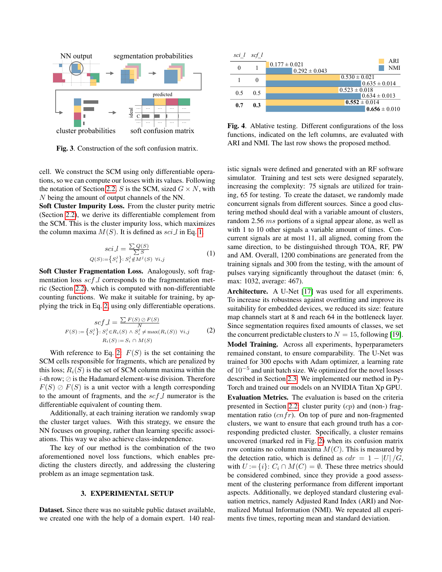

<span id="page-2-0"></span>Fig. 3. Construction of the soft confusion matrix.

cell. We construct the SCM using only differentiable operations, so we can compute our losses with its values. Following the notation of Section [2.2,](#page-1-2) S is the SCM, sized  $G \times N$ , with N being the amount of output channels of the NN.

Soft Cluster Impurity Loss. From the cluster purity metric (Section [2.2\)](#page-1-2), we derive its differentiable complement from the SCM. This is the cluster impurity loss, which maximizes the column maxima  $M(S)$ . It is defined as sci l in Eq. [1.](#page-2-1)

<span id="page-2-1"></span>
$$
sci.I = \frac{\sum Q(S)}{\sum S}
$$
  
 
$$
Q(S) := \{ S_i^j \} \colon S_i^j \notin M^j(S) \ \forall i, j
$$
 (1)

Soft Cluster Fragmentation Loss. Analogously, soft fragmentation loss  $\mathit{scf}\,l$  corresponds to the fragmentation metric (Section [2.2\)](#page-1-2), which is computed with non-differentiable counting functions. We make it suitable for training, by applying the trick in Eq. [2,](#page-2-2) using only differentiable operations.

<span id="page-2-2"></span>
$$
scf\_l = \frac{\sum F(S) \oslash F(S)}{N}
$$

$$
F(S) := \{S_i^j\} : S_i^j \in R_i(S) \land S_i^j \neq \max(R_i(S)) \ \forall i, j \qquad (2)
$$

$$
R_i(S) := S_i \cap M(S)
$$

With reference to Eq. [2:](#page-2-2)  $F(S)$  is the set containing the SCM cells responsible for fragments, which are penalized by this loss;  $R_i(S)$  is the set of SCM column maxima within the *i*-th row;  $\oslash$  is the Hadamard element-wise division. Therefore  $F(S) \oslash F(S)$  is a unit vector with a length corresponding to the amount of fragments, and the  $\operatorname{scf}$  l numerator is the differentiable equivalent of counting them.

Additionally, at each training iteration we randomly swap the cluster target values. With this strategy, we ensure the NN focuses on grouping, rather than learning specific associations. This way we also achieve class-independence.

The key of our method is the combination of the two aforementioned novel loss functions, which enables predicting the clusters directly, and addressing the clustering problem as an image segmentation task.

## 3. EXPERIMENTAL SETUP

Dataset. Since there was no suitable public dataset available, we created one with the help of a domain expert. 140 real-



<span id="page-2-3"></span>Fig. 4. Ablative testing. Different configurations of the loss functions, indicated on the left columns, are evaluated with ARI and NMI. The last row shows the proposed method.

istic signals were defined and generated with an RF software simulator. Training and test sets were designed separately, increasing the complexity: 75 signals are utilized for training, 65 for testing. To create the dataset, we randomly made concurrent signals from different sources. Since a good clustering method should deal with a variable amount of clusters, random 2.56 ms portions of a signal appear alone, as well as with 1 to 10 other signals a variable amount of times. Concurrent signals are at most 11, all aligned, coming from the same direction, to be distinguished through TOA, RF, PW and AM. Overall, 1200 combinations are generated from the training signals and 300 from the testing, with the amount of pulses varying significantly throughout the dataset (min: 6, max: 1032, average: 467).

Architecture. A U-Net [\[17\]](#page-4-13) was used for all experiments. To increase its robustness against overfitting and improve its suitability for embedded devices, we reduced its size: feature map channels start at 8 and reach 64 in the bottleneck layer. Since segmentation requires fixed amounts of classes, we set the concurrent predictable clusters to  $N = 15$ , following [\[19\]](#page-4-15). Model Training. Across all experiments, hyperparameters remained constant, to ensure comparability. The U-Net was trained for 300 epochs with Adam optimizer, a learning rate of  $10^{-5}$  and unit batch size. We optimized for the novel losses described in Section [2.3.](#page-1-1) We implemented our method in Py-Torch and trained our models on an NVIDIA Titan Xp GPU. Evaluation Metrics. The evaluation is based on the criteria presented in Section [2.2:](#page-1-2) cluster purity  $(cp)$  and (non-) fragmentation ratio  $(cnfr)$ . On top of pure and non-fragmented clusters, we want to ensure that each ground truth has a corresponding predicted cluster. Specifically, a cluster remains uncovered (marked red in Fig. [2\)](#page-1-3) when its confusion matrix row contains no column maxima  $M(C)$ . This is measured by the detection ratio, which is defined as  $cdr = 1 - |U|/G$ ,

with  $U := \{i\}$ :  $C_i \cap M(C) = \emptyset$ . These three metrics should be considered combined, since they provide a good assessment of the clustering performance from different important aspects. Additionally, we deployed standard clustering evaluation metrics, namely Adjusted Rand Index (ARI) and Normalized Mutual Information (NMI). We repeated all experiments five times, reporting mean and standard deviation.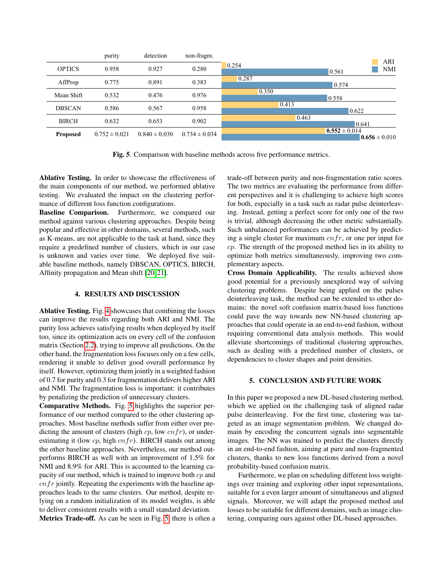|                 | purity            | detection         | non-fragm.        |       | ARI                                    |
|-----------------|-------------------|-------------------|-------------------|-------|----------------------------------------|
| <b>OPTICS</b>   | 0.958             | 0.927             | 0.280             | 0.254 | <b>NMI</b><br>0.561                    |
| AffProp         | 0.775             | 0.891             | 0.383             | 0.287 | 0.574                                  |
| Mean Shift      | 0.532             | 0.476             | 0.976             | 0.350 | 0.558                                  |
| <b>DBSCAN</b>   | 0.586             | 0.567             | 0.958             | 0.413 | 0.622                                  |
| <b>BIRCH</b>    | 0.632             | 0.653             | 0.902             | 0.463 | 0.641                                  |
| <b>Proposed</b> | $0.752 \pm 0.021$ | $0.840 \pm 0.030$ | $0.734 \pm 0.034$ |       | $0.552 \pm 0.014$<br>$0.656 \pm 0.010$ |

<span id="page-3-0"></span>Fig. 5. Comparison with baseline methods across five performance metrics.

Ablative Testing. In order to showcase the effectiveness of the main components of our method, we performed ablative testing. We evaluated the impact on the clustering performance of different loss function configurations.

Baseline Comparison. Furthermore, we compared our method against various clustering approaches. Despite being popular and effective in other domains, several methods, such as K-means, are not applicable to the task at hand, since they require a predefined number of clusters, which in our case is unknown and varies over time. We deployed five suitable baseline methods, namely DBSCAN, OPTICS, BIRCH, Affinity propagation and Mean shift [\[20,](#page-4-16) [21\]](#page-4-17).

## 4. RESULTS AND DISCUSSION

Ablative Testing. Fig. [4](#page-2-3) showcases that combining the losses can improve the results regarding both ARI and NMI. The purity loss achieves satisfying results when deployed by itself too, since its optimization acts on every cell of the confusion matrix (Section [2.2\)](#page-1-2), trying to improve all predictions. On the other hand, the fragmentation loss focuses only on a few cells, rendering it unable to deliver good overall performance by itself. However, optimizing them jointly in a weighted fashion of 0.7 for purity and 0.3 for fragmentation delivers higher ARI and NMI. The fragmentation loss is important: it contributes by penalizing the prediction of unnecessary clusters.

Comparative Methods. Fig. [5](#page-3-0) highlights the superior performance of our method compared to the other clustering approaches. Most baseline methods suffer from either over predicting the amount of clusters (high  $cp$ , low  $cnfr$ ), or underestimating it (low  $cp$ , high  $cnfr$ ). BIRCH stands out among the other baseline approaches. Nevertheless, our method outperforms BIRCH as well with an improvement of 1.5% for NMI and 8.9% for ARI. This is accounted to the learning capacity of our method, which is trained to improve both  $cp$  and  $cnfr$  jointly. Repeating the experiments with the baseline approaches leads to the same clusters. Our method, despite relying on a random initialization of its model weights, is able to deliver consistent results with a small standard deviation.

Metrics Trade-off. As can be seen in Fig. [5,](#page-3-0) there is often a

trade-off between purity and non-fragmentation ratio scores. The two metrics are evaluating the performance from different perspectives and it is challenging to achieve high scores for both, especially in a task such as radar pulse deinterleaving. Instead, getting a perfect score for only one of the two is trivial, although decreasing the other metric substantially. Such unbalanced performances can be achieved by predicting a single cluster for maximum  $cnfr$ , or one per input for cp. The strength of the proposed method lies in its ability to optimize both metrics simultaneously, improving two complementary aspects.

Cross Domain Applicability. The results achieved show good potential for a previously unexplored way of solving clustering problems. Despite being applied on the pulses deinterleaving task, the method can be extended to other domains: the novel soft confusion matrix-based loss functions could pave the way towards new NN-based clustering approaches that could operate in an end-to-end fashion, without requiring conventional data analysis methods. This would alleviate shortcomings of traditional clustering approaches, such as dealing with a predefined number of clusters, or dependencies to cluster shapes and point densities.

## 5. CONCLUSION AND FUTURE WORK

In this paper we proposed a new DL-based clustering method, which we applied on the challenging task of aligned radar pulse deinterleaving. For the first time, clustering was targeted as an image segmentation problem. We changed domain by encoding the concurrent signals into segmentable images. The NN was trained to predict the clusters directly in an end-to-end fashion, aiming at pure and non-fragmented clusters, thanks to new loss functions derived from a novel probability-based confusion matrix.

Furthermore, we plan on scheduling different loss weightings over training and exploring other input representations, suitable for a even larger amount of simultaneous and aligned signals. Moreover, we will adapt the proposed method and losses to be suitable for different domains, such as image clustering, comparing ours against other DL-based approaches.